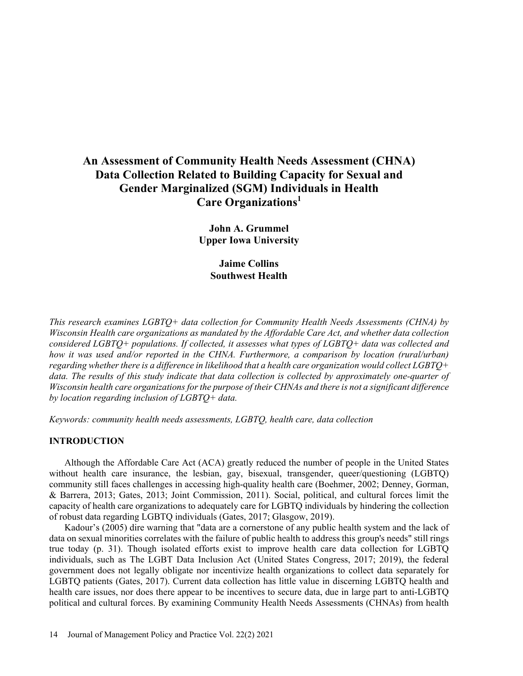# **An Assessment of Community Health Needs Assessment (CHNA) Data Collection Related to Building Capacity for Sexual and Gender Marginalized (SGM) Individuals in Health Care Organizations1**

**John A. Grummel Upper Iowa University**

> **Jaime Collins Southwest Health**

*This research examines LGBTQ+ data collection for Community Health Needs Assessments (CHNA) by Wisconsin Health care organizations as mandated by the Affordable Care Act, and whether data collection considered LGBTQ+ populations. If collected, it assesses what types of LGBTQ+ data was collected and how it was used and/or reported in the CHNA. Furthermore, a comparison by location (rural/urban) regarding whether there is a difference in likelihood that a health care organization would collect LGBTQ+ data. The results of this study indicate that data collection is collected by approximately one-quarter of Wisconsin health care organizations for the purpose of their CHNAs and there is not a significant difference by location regarding inclusion of LGBTQ+ data.*

*Keywords: community health needs assessments, LGBTQ, health care, data collection*

## **INTRODUCTION**

Although the Affordable Care Act (ACA) greatly reduced the number of people in the United States without health care insurance, the lesbian, gay, bisexual, transgender, queer/questioning (LGBTQ) community still faces challenges in accessing high-quality health care (Boehmer, 2002; Denney, Gorman, & Barrera, 2013; Gates, 2013; Joint Commission, 2011). Social, political, and cultural forces limit the capacity of health care organizations to adequately care for LGBTQ individuals by hindering the collection of robust data regarding LGBTQ individuals (Gates, 2017; Glasgow, 2019).

Kadour's (2005) dire warning that "data are a cornerstone of any public health system and the lack of data on sexual minorities correlates with the failure of public health to address this group's needs" still rings true today (p. 31). Though isolated efforts exist to improve health care data collection for LGBTQ individuals, such as The LGBT Data Inclusion Act (United States Congress, 2017; 2019), the federal government does not legally obligate nor incentivize health organizations to collect data separately for LGBTQ patients (Gates, 2017). Current data collection has little value in discerning LGBTQ health and health care issues, nor does there appear to be incentives to secure data, due in large part to anti-LGBTQ political and cultural forces. By examining Community Health Needs Assessments (CHNAs) from health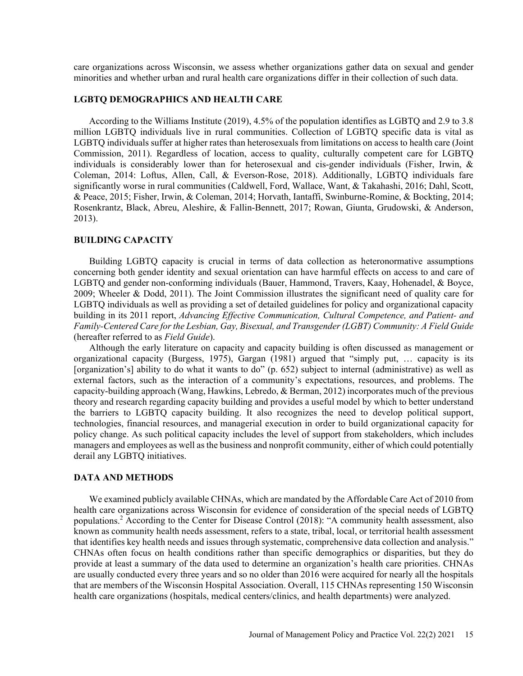care organizations across Wisconsin, we assess whether organizations gather data on sexual and gender minorities and whether urban and rural health care organizations differ in their collection of such data.

### **LGBTQ DEMOGRAPHICS AND HEALTH CARE**

According to the Williams Institute (2019), 4.5% of the population identifies as LGBTQ and 2.9 to 3.8 million LGBTQ individuals live in rural communities. Collection of LGBTQ specific data is vital as LGBTQ individuals suffer at higher rates than heterosexuals from limitations on access to health care (Joint Commission, 2011). Regardless of location, access to quality, culturally competent care for LGBTQ individuals is considerably lower than for heterosexual and cis-gender individuals (Fisher, Irwin, & Coleman, 2014: Loftus, Allen, Call, & Everson-Rose, 2018). Additionally, LGBTQ individuals fare significantly worse in rural communities (Caldwell, Ford, Wallace, Want, & Takahashi, 2016; Dahl, Scott, & Peace, 2015; Fisher, Irwin, & Coleman, 2014; Horvath, Iantaffi, Swinburne-Romine, & Bockting, 2014; Rosenkrantz, Black, Abreu, Aleshire, & Fallin-Bennett, 2017; Rowan, Giunta, Grudowski, & Anderson, 2013).

# **BUILDING CAPACITY**

Building LGBTQ capacity is crucial in terms of data collection as heteronormative assumptions concerning both gender identity and sexual orientation can have harmful effects on access to and care of LGBTQ and gender non-conforming individuals (Bauer, Hammond, Travers, Kaay, Hohenadel, & Boyce, 2009; Wheeler & Dodd, 2011). The Joint Commission illustrates the significant need of quality care for LGBTQ individuals as well as providing a set of detailed guidelines for policy and organizational capacity building in its 2011 report, *Advancing Effective Communication, Cultural Competence, and Patient- and Family-Centered Care for the Lesbian, Gay, Bisexual, and Transgender (LGBT) Community: A Field Guide* (hereafter referred to as *Field Guide*).

Although the early literature on capacity and capacity building is often discussed as management or organizational capacity (Burgess, 1975), Gargan (1981) argued that "simply put, … capacity is its [organization's] ability to do what it wants to do" (p. 652) subject to internal (administrative) as well as external factors, such as the interaction of a community's expectations, resources, and problems. The capacity-building approach (Wang, Hawkins, Lebredo, & Berman, 2012) incorporates much of the previous theory and research regarding capacity building and provides a useful model by which to better understand the barriers to LGBTQ capacity building. It also recognizes the need to develop political support, technologies, financial resources, and managerial execution in order to build organizational capacity for policy change. As such political capacity includes the level of support from stakeholders, which includes managers and employees as well as the business and nonprofit community, either of which could potentially derail any LGBTQ initiatives.

### **DATA AND METHODS**

We examined publicly available CHNAs, which are mandated by the Affordable Care Act of 2010 from health care organizations across Wisconsin for evidence of consideration of the special needs of LGBTQ populations.2 According to the Center for Disease Control (2018): "A community health assessment, also known as community health needs assessment, refers to a state, tribal, local, or territorial health assessment that identifies key health needs and issues through systematic, comprehensive data collection and analysis." CHNAs often focus on health conditions rather than specific demographics or disparities, but they do provide at least a summary of the data used to determine an organization's health care priorities. CHNAs are usually conducted every three years and so no older than 2016 were acquired for nearly all the hospitals that are members of the Wisconsin Hospital Association. Overall, 115 CHNAs representing 150 Wisconsin health care organizations (hospitals, medical centers/clinics, and health departments) were analyzed.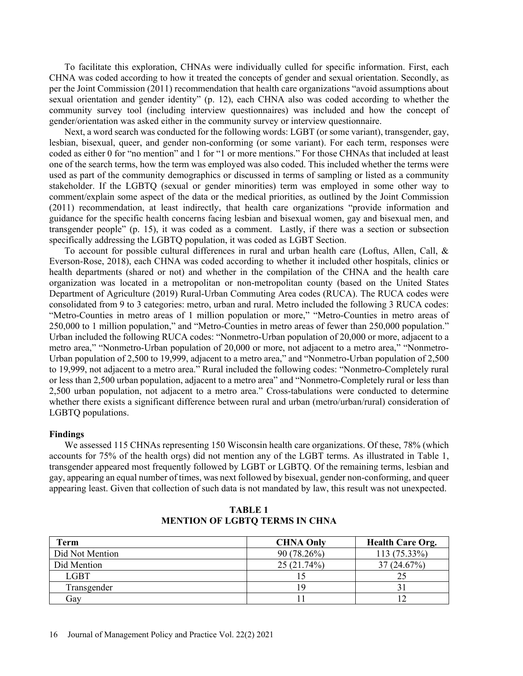To facilitate this exploration, CHNAs were individually culled for specific information. First, each CHNA was coded according to how it treated the concepts of gender and sexual orientation. Secondly, as per the Joint Commission (2011) recommendation that health care organizations "avoid assumptions about sexual orientation and gender identity" (p. 12), each CHNA also was coded according to whether the community survey tool (including interview questionnaires) was included and how the concept of gender/orientation was asked either in the community survey or interview questionnaire.

Next, a word search was conducted for the following words: LGBT (or some variant), transgender, gay, lesbian, bisexual, queer, and gender non-conforming (or some variant). For each term, responses were coded as either 0 for "no mention" and 1 for "1 or more mentions." For those CHNAs that included at least one of the search terms, how the term was employed was also coded. This included whether the terms were used as part of the community demographics or discussed in terms of sampling or listed as a community stakeholder. If the LGBTQ (sexual or gender minorities) term was employed in some other way to comment/explain some aspect of the data or the medical priorities, as outlined by the Joint Commission (2011) recommendation, at least indirectly, that health care organizations "provide information and guidance for the specific health concerns facing lesbian and bisexual women, gay and bisexual men, and transgender people" (p. 15), it was coded as a comment. Lastly, if there was a section or subsection specifically addressing the LGBTQ population, it was coded as LGBT Section.

To account for possible cultural differences in rural and urban health care (Loftus, Allen, Call, & Everson-Rose, 2018), each CHNA was coded according to whether it included other hospitals, clinics or health departments (shared or not) and whether in the compilation of the CHNA and the health care organization was located in a metropolitan or non-metropolitan county (based on the United States Department of Agriculture (2019) Rural-Urban Commuting Area codes (RUCA). The RUCA codes were consolidated from 9 to 3 categories: metro, urban and rural. Metro included the following 3 RUCA codes: "Metro-Counties in metro areas of 1 million population or more," "Metro-Counties in metro areas of 250,000 to 1 million population," and "Metro-Counties in metro areas of fewer than 250,000 population." Urban included the following RUCA codes: "Nonmetro-Urban population of 20,000 or more, adjacent to a metro area," "Nonmetro-Urban population of 20,000 or more, not adjacent to a metro area," "Nonmetro-Urban population of 2,500 to 19,999, adjacent to a metro area," and "Nonmetro-Urban population of 2,500 to 19,999, not adjacent to a metro area." Rural included the following codes: "Nonmetro-Completely rural or less than 2,500 urban population, adjacent to a metro area" and "Nonmetro-Completely rural or less than 2,500 urban population, not adjacent to a metro area." Cross-tabulations were conducted to determine whether there exists a significant difference between rural and urban (metro/urban/rural) consideration of LGBTQ populations.

#### **Findings**

We assessed 115 CHNAs representing 150 Wisconsin health care organizations. Of these, 78% (which accounts for 75% of the health orgs) did not mention any of the LGBT terms. As illustrated in Table 1, transgender appeared most frequently followed by LGBT or LGBTQ. Of the remaining terms, lesbian and gay, appearing an equal number of times, was next followed by bisexual, gender non-conforming, and queer appearing least. Given that collection of such data is not mandated by law, this result was not unexpected.

| Term            | <b>CHNA Only</b> | <b>Health Care Org.</b> |
|-----------------|------------------|-------------------------|
| Did Not Mention | $90(78.26\%)$    | 113 (75.33%)            |
| Did Mention     | 25(21.74%)       | 37(24.67%)              |
| <b>LGBT</b>     |                  |                         |
| Transgender     |                  |                         |
| Gay             |                  |                         |

**TABLE 1 MENTION OF LGBTQ TERMS IN CHNA**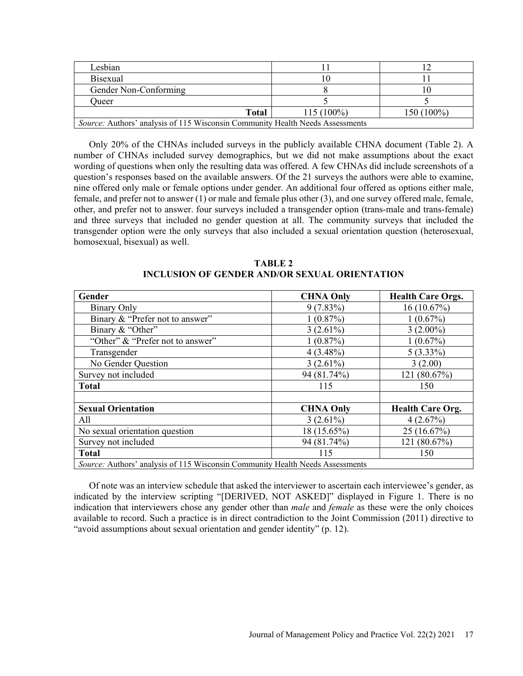| Lesbian                                                                              |              |            |
|--------------------------------------------------------------------------------------|--------------|------------|
| <b>Bisexual</b>                                                                      |              |            |
| Gender Non-Conforming                                                                |              |            |
| <b>Dueer</b>                                                                         |              |            |
| <b>Total</b>                                                                         | $115(100\%)$ | 150 (100%) |
| <i>Source:</i> Authors' analysis of 115 Wisconsin Community Health Needs Assessments |              |            |

Only 20% of the CHNAs included surveys in the publicly available CHNA document (Table 2). A

number of CHNAs included survey demographics, but we did not make assumptions about the exact wording of questions when only the resulting data was offered. A few CHNAs did include screenshots of a question's responses based on the available answers. Of the 21 surveys the authors were able to examine, nine offered only male or female options under gender. An additional four offered as options either male, female, and prefer not to answer (1) or male and female plus other (3), and one survey offered male, female, other, and prefer not to answer. four surveys included a transgender option (trans-male and trans-female) and three surveys that included no gender question at all. The community surveys that included the transgender option were the only surveys that also included a sexual orientation question (heterosexual, homosexual, bisexual) as well.

| <b>TABLE 2</b>                                |
|-----------------------------------------------|
| INCLUSION OF GENDER AND/OR SEXUAL ORIENTATION |

| Gender                                                                        | <b>CHNA Only</b> | <b>Health Care Orgs.</b> |  |
|-------------------------------------------------------------------------------|------------------|--------------------------|--|
| Binary Only                                                                   | $9(7.83\%)$      | 16(10.67%)               |  |
| Binary & "Prefer not to answer"                                               | 1(0.87%)         | $1(0.67\%)$              |  |
| Binary & "Other"                                                              | $3(2.61\%)$      | $3(2.00\%)$              |  |
| "Other" & "Prefer not to answer"                                              | 1(0.87%)         | 1(0.67%)                 |  |
| Transgender                                                                   | $4(3.48\%)$      | $5(3.33\%)$              |  |
| No Gender Question                                                            | $3(2.61\%)$      | 3(2.00)                  |  |
| Survey not included                                                           | 94 (81.74%)      | 121 (80.67%)             |  |
| <b>Total</b>                                                                  | 115              | 150                      |  |
|                                                                               |                  |                          |  |
| <b>Sexual Orientation</b>                                                     | <b>CHNA Only</b> | <b>Health Care Org.</b>  |  |
| All                                                                           | $3(2.61\%)$      | 4(2.67%)                 |  |
| No sexual orientation question                                                | 18 (15.65%)      | 25 (16.67%)              |  |
| Survey not included                                                           | 94 (81.74%)      | 121 (80.67%)             |  |
| <b>Total</b>                                                                  | 115              | 150                      |  |
| Source: Authors' analysis of 115 Wisconsin Community Health Needs Assessments |                  |                          |  |

Of note was an interview schedule that asked the interviewer to ascertain each interviewee's gender, as indicated by the interview scripting "[DERIVED, NOT ASKED]" displayed in Figure 1. There is no indication that interviewers chose any gender other than *male* and *female* as these were the only choices available to record. Such a practice is in direct contradiction to the Joint Commission (2011) directive to "avoid assumptions about sexual orientation and gender identity" (p. 12).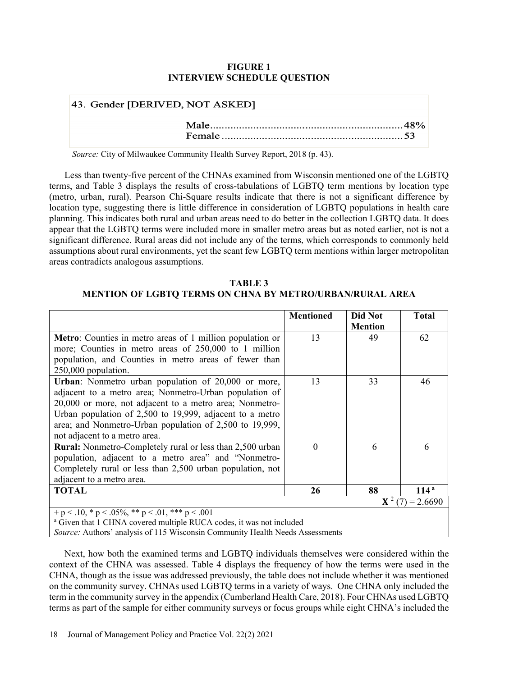# **FIGURE 1 INTERVIEW SCHEDULE QUESTION**

| 43. Gender [DERIVED, NOT ASKED] |  |
|---------------------------------|--|
|                                 |  |

*Source:* City of Milwaukee Community Health Survey Report, 2018 (p. 43).

Less than twenty-five percent of the CHNAs examined from Wisconsin mentioned one of the LGBTQ terms, and Table 3 displays the results of cross-tabulations of LGBTQ term mentions by location type (metro, urban, rural). Pearson Chi-Square results indicate that there is not a significant difference by location type, suggesting there is little difference in consideration of LGBTQ populations in health care planning. This indicates both rural and urban areas need to do better in the collection LGBTQ data. It does appear that the LGBTQ terms were included more in smaller metro areas but as noted earlier, not is not a significant difference. Rural areas did not include any of the terms, which corresponds to commonly held assumptions about rural environments, yet the scant few LGBTQ term mentions within larger metropolitan areas contradicts analogous assumptions.

# **TABLE 3 MENTION OF LGBTQ TERMS ON CHNA BY METRO/URBAN/RURAL AREA**

|                                                                  | <b>Mentioned</b> | Did Not<br><b>Mention</b> | <b>Total</b>             |
|------------------------------------------------------------------|------------------|---------------------------|--------------------------|
| <b>Metro:</b> Counties in metro areas of 1 million population or | 13               | 49                        | 62                       |
| more; Counties in metro areas of 250,000 to 1 million            |                  |                           |                          |
| population, and Counties in metro areas of fewer than            |                  |                           |                          |
| 250,000 population.                                              |                  |                           |                          |
| Urban: Nonmetro urban population of 20,000 or more,              | 13               | 33                        | 46                       |
| adjacent to a metro area; Nonmetro-Urban population of           |                  |                           |                          |
| 20,000 or more, not adjacent to a metro area; Nonmetro-          |                  |                           |                          |
| Urban population of $2,500$ to 19,999, adjacent to a metro       |                  |                           |                          |
| area; and Nonmetro-Urban population of 2,500 to 19,999,          |                  |                           |                          |
| not adjacent to a metro area.                                    |                  |                           |                          |
| <b>Rural:</b> Nonmetro-Completely rural or less than 2,500 urban | $\theta$         | 6                         | 6                        |
| population, adjacent to a metro area" and "Nonmetro-             |                  |                           |                          |
| Completely rural or less than 2,500 urban population, not        |                  |                           |                          |
| adjacent to a metro area.                                        |                  |                           |                          |
| <b>TOTAL</b>                                                     | 26               | 88                        | 114 <sup>a</sup>         |
|                                                                  |                  |                           | ${\bf X}^2$ (7) = 2.6690 |
| + p < .10, * p < .05%, ** p < .01, *** p < .001                  |                  |                           |                          |

<sup>a</sup> Given that 1 CHNA covered multiple RUCA codes, it was not included

*Source:* Authors' analysis of 115 Wisconsin Community Health Needs Assessments

Next, how both the examined terms and LGBTQ individuals themselves were considered within the context of the CHNA was assessed. Table 4 displays the frequency of how the terms were used in the CHNA, though as the issue was addressed previously, the table does not include whether it was mentioned on the community survey. CHNAs used LGBTQ terms in a variety of ways. One CHNA only included the term in the community survey in the appendix (Cumberland Health Care, 2018). Four CHNAs used LGBTQ terms as part of the sample for either community surveys or focus groups while eight CHNA's included the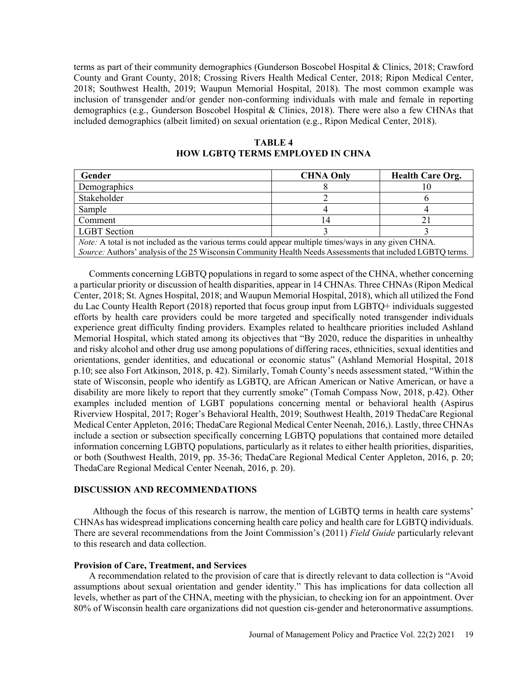terms as part of their community demographics (Gunderson Boscobel Hospital & Clinics, 2018; Crawford County and Grant County, 2018; Crossing Rivers Health Medical Center, 2018; Ripon Medical Center, 2018; Southwest Health, 2019; Waupun Memorial Hospital, 2018). The most common example was inclusion of transgender and/or gender non-conforming individuals with male and female in reporting demographics (e.g., Gunderson Boscobel Hospital & Clinics, 2018). There were also a few CHNAs that included demographics (albeit limited) on sexual orientation (e.g., Ripon Medical Center, 2018).

| <b>TABLE 4</b>                          |  |  |
|-----------------------------------------|--|--|
| <b>HOW LGBTQ TERMS EMPLOYED IN CHNA</b> |  |  |

| Gender                                                                                                        | <b>CHNA Only</b> | <b>Health Care Org.</b> |
|---------------------------------------------------------------------------------------------------------------|------------------|-------------------------|
| Demographics                                                                                                  |                  |                         |
| Stakeholder                                                                                                   |                  |                         |
| Sample                                                                                                        |                  |                         |
| Comment                                                                                                       |                  |                         |
| <b>LGBT</b> Section                                                                                           |                  |                         |
| <i>Note:</i> A total is not included as the various terms could appear multiple times/ways in any given CHNA. |                  |                         |
| Source: Authors' analysis of the 25 Wisconsin Community Health Needs Assessments that included LGBTQ terms.   |                  |                         |

Comments concerning LGBTQ populations in regard to some aspect of the CHNA, whether concerning a particular priority or discussion of health disparities, appear in 14 CHNAs. Three CHNAs (Ripon Medical Center, 2018; St. Agnes Hospital, 2018; and Waupun Memorial Hospital, 2018), which all utilized the Fond du Lac County Health Report (2018) reported that focus group input from LGBTQ+ individuals suggested efforts by health care providers could be more targeted and specifically noted transgender individuals experience great difficulty finding providers. Examples related to healthcare priorities included Ashland Memorial Hospital, which stated among its objectives that "By 2020, reduce the disparities in unhealthy and risky alcohol and other drug use among populations of differing races, ethnicities, sexual identities and orientations, gender identities, and educational or economic status" (Ashland Memorial Hospital, 2018 p.10; see also Fort Atkinson, 2018, p. 42). Similarly, Tomah County's needs assessment stated, "Within the state of Wisconsin, people who identify as LGBTQ, are African American or Native American, or have a disability are more likely to report that they currently smoke" (Tomah Compass Now, 2018, p.42). Other examples included mention of LGBT populations concerning mental or behavioral health (Aspirus Riverview Hospital, 2017; Roger's Behavioral Health, 2019; Southwest Health, 2019 ThedaCare Regional Medical Center Appleton, 2016; ThedaCare Regional Medical Center Neenah, 2016,). Lastly, three CHNAs include a section or subsection specifically concerning LGBTQ populations that contained more detailed information concerning LGBTQ populations, particularly as it relates to either health priorities, disparities, or both (Southwest Health, 2019, pp. 35-36; ThedaCare Regional Medical Center Appleton, 2016, p. 20; ThedaCare Regional Medical Center Neenah, 2016, p. 20).

# **DISCUSSION AND RECOMMENDATIONS**

Although the focus of this research is narrow, the mention of LGBTQ terms in health care systems' CHNAs has widespread implications concerning health care policy and health care for LGBTQ individuals. There are several recommendations from the Joint Commission's (2011) *Field Guide* particularly relevant to this research and data collection.

#### **Provision of Care, Treatment, and Services**

A recommendation related to the provision of care that is directly relevant to data collection is "Avoid assumptions about sexual orientation and gender identity." This has implications for data collection all levels, whether as part of the CHNA, meeting with the physician, to checking ion for an appointment. Over 80% of Wisconsin health care organizations did not question cis-gender and heteronormative assumptions.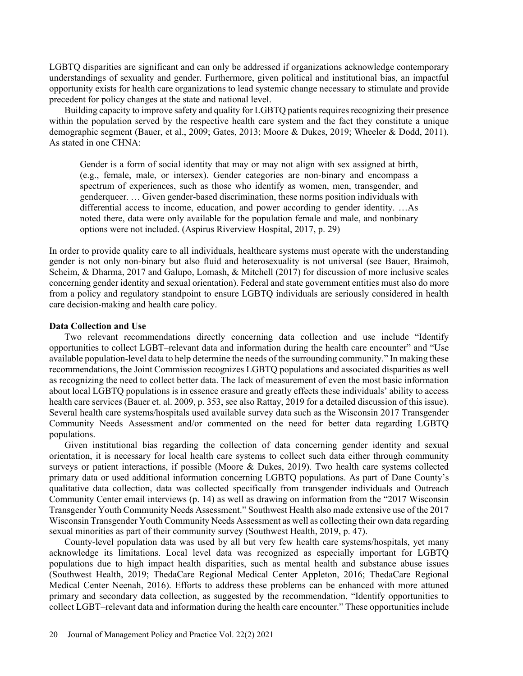LGBTQ disparities are significant and can only be addressed if organizations acknowledge contemporary understandings of sexuality and gender. Furthermore, given political and institutional bias, an impactful opportunity exists for health care organizations to lead systemic change necessary to stimulate and provide precedent for policy changes at the state and national level.

Building capacity to improve safety and quality for LGBTQ patients requires recognizing their presence within the population served by the respective health care system and the fact they constitute a unique demographic segment (Bauer, et al., 2009; Gates, 2013; Moore & Dukes, 2019; Wheeler & Dodd, 2011). As stated in one CHNA:

Gender is a form of social identity that may or may not align with sex assigned at birth, (e.g., female, male, or intersex). Gender categories are non-binary and encompass a spectrum of experiences, such as those who identify as women, men, transgender, and genderqueer. … Given gender-based discrimination, these norms position individuals with differential access to income, education, and power according to gender identity. …As noted there, data were only available for the population female and male, and nonbinary options were not included. (Aspirus Riverview Hospital, 2017, p. 29)

In order to provide quality care to all individuals, healthcare systems must operate with the understanding gender is not only non-binary but also fluid and heterosexuality is not universal (see Bauer, Braimoh, Scheim, & Dharma, 2017 and Galupo, Lomash, & Mitchell (2017) for discussion of more inclusive scales concerning gender identity and sexual orientation). Federal and state government entities must also do more from a policy and regulatory standpoint to ensure LGBTQ individuals are seriously considered in health care decision-making and health care policy.

### **Data Collection and Use**

Two relevant recommendations directly concerning data collection and use include "Identify opportunities to collect LGBT–relevant data and information during the health care encounter" and "Use available population-level data to help determine the needs of the surrounding community." In making these recommendations, the Joint Commission recognizes LGBTQ populations and associated disparities as well as recognizing the need to collect better data. The lack of measurement of even the most basic information about local LGBTQ populations is in essence erasure and greatly effects these individuals' ability to access health care services (Bauer et. al. 2009, p. 353, see also Rattay, 2019 for a detailed discussion of this issue). Several health care systems/hospitals used available survey data such as the Wisconsin 2017 Transgender Community Needs Assessment and/or commented on the need for better data regarding LGBTQ populations.

Given institutional bias regarding the collection of data concerning gender identity and sexual orientation, it is necessary for local health care systems to collect such data either through community surveys or patient interactions, if possible (Moore & Dukes, 2019). Two health care systems collected primary data or used additional information concerning LGBTQ populations. As part of Dane County's qualitative data collection, data was collected specifically from transgender individuals and Outreach Community Center email interviews (p. 14) as well as drawing on information from the "2017 Wisconsin Transgender Youth Community Needs Assessment." Southwest Health also made extensive use of the 2017 Wisconsin Transgender Youth Community Needs Assessment as well as collecting their own data regarding sexual minorities as part of their community survey (Southwest Health, 2019, p. 47).

County-level population data was used by all but very few health care systems/hospitals, yet many acknowledge its limitations. Local level data was recognized as especially important for LGBTQ populations due to high impact health disparities, such as mental health and substance abuse issues (Southwest Health, 2019; ThedaCare Regional Medical Center Appleton, 2016; ThedaCare Regional Medical Center Neenah, 2016). Efforts to address these problems can be enhanced with more attuned primary and secondary data collection, as suggested by the recommendation, "Identify opportunities to collect LGBT–relevant data and information during the health care encounter." These opportunities include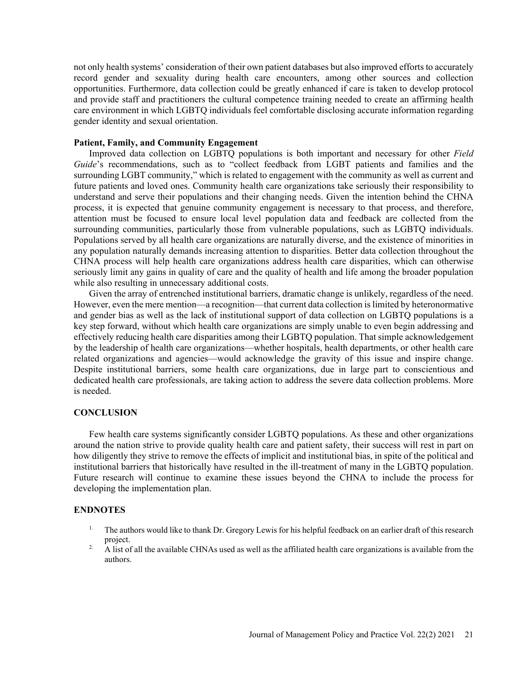not only health systems' consideration of their own patient databases but also improved efforts to accurately record gender and sexuality during health care encounters, among other sources and collection opportunities. Furthermore, data collection could be greatly enhanced if care is taken to develop protocol and provide staff and practitioners the cultural competence training needed to create an affirming health care environment in which LGBTQ individuals feel comfortable disclosing accurate information regarding gender identity and sexual orientation.

### **Patient, Family, and Community Engagement**

Improved data collection on LGBTQ populations is both important and necessary for other *Field Guide*'s recommendations, such as to "collect feedback from LGBT patients and families and the surrounding LGBT community," which is related to engagement with the community as well as current and future patients and loved ones. Community health care organizations take seriously their responsibility to understand and serve their populations and their changing needs. Given the intention behind the CHNA process, it is expected that genuine community engagement is necessary to that process, and therefore, attention must be focused to ensure local level population data and feedback are collected from the surrounding communities, particularly those from vulnerable populations, such as LGBTQ individuals. Populations served by all health care organizations are naturally diverse, and the existence of minorities in any population naturally demands increasing attention to disparities. Better data collection throughout the CHNA process will help health care organizations address health care disparities, which can otherwise seriously limit any gains in quality of care and the quality of health and life among the broader population while also resulting in unnecessary additional costs.

Given the array of entrenched institutional barriers, dramatic change is unlikely, regardless of the need. However, even the mere mention—a recognition—that current data collection is limited by heteronormative and gender bias as well as the lack of institutional support of data collection on LGBTQ populations is a key step forward, without which health care organizations are simply unable to even begin addressing and effectively reducing health care disparities among their LGBTQ population. That simple acknowledgement by the leadership of health care organizations—whether hospitals, health departments, or other health care related organizations and agencies—would acknowledge the gravity of this issue and inspire change. Despite institutional barriers, some health care organizations, due in large part to conscientious and dedicated health care professionals, are taking action to address the severe data collection problems. More is needed.

#### **CONCLUSION**

Few health care systems significantly consider LGBTQ populations. As these and other organizations around the nation strive to provide quality health care and patient safety, their success will rest in part on how diligently they strive to remove the effects of implicit and institutional bias, in spite of the political and institutional barriers that historically have resulted in the ill-treatment of many in the LGBTQ population. Future research will continue to examine these issues beyond the CHNA to include the process for developing the implementation plan.

### **ENDNOTES**

- <sup>1.</sup> The authors would like to thank Dr. Gregory Lewis for his helpful feedback on an earlier draft of this research project.
- <sup>2.</sup> A list of all the available CHNAs used as well as the affiliated health care organizations is available from the authors.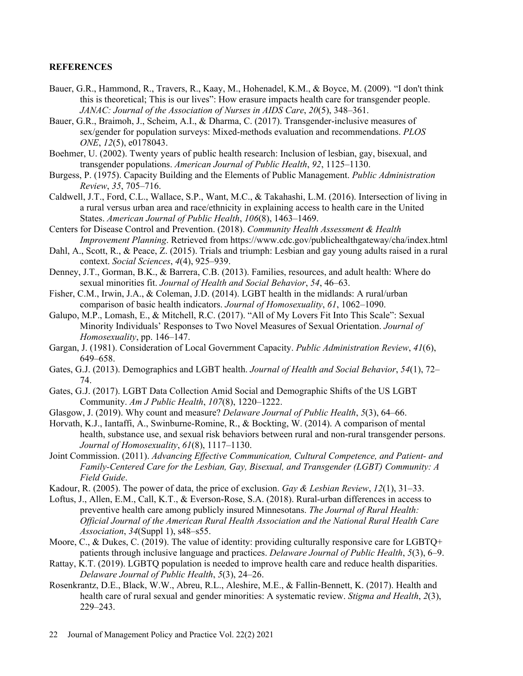## **REFERENCES**

- Bauer, G.R., Hammond, R., Travers, R., Kaay, M., Hohenadel, K.M., & Boyce, M. (2009). "I don't think this is theoretical; This is our lives": How erasure impacts health care for transgender people. *JANAC: Journal of the Association of Nurses in AIDS Care*, *20*(5), 348–361.
- Bauer, G.R., Braimoh, J., Scheim, A.I., & Dharma, C. (2017). Transgender-inclusive measures of sex/gender for population surveys: Mixed-methods evaluation and recommendations. *PLOS ONE*, *12*(5), e0178043.
- Boehmer, U. (2002). Twenty years of public health research: Inclusion of lesbian, gay, bisexual, and transgender populations. *American Journal of Public Health*, *92*, 1125–1130.
- Burgess, P. (1975). Capacity Building and the Elements of Public Management. *Public Administration Review*, *35*, 705–716.
- Caldwell, J.T., Ford, C.L., Wallace, S.P., Want, M.C., & Takahashi, L.M. (2016). Intersection of living in a rural versus urban area and race/ethnicity in explaining access to health care in the United States. *American Journal of Public Health*, *106*(8), 1463–1469.
- Centers for Disease Control and Prevention. (2018). *Community Health Assessment & Health Improvement Planning*. Retrieved from https://www.cdc.gov/publichealthgateway/cha/index.html
- Dahl, A., Scott, R., & Peace, Z. (2015). Trials and triumph: Lesbian and gay young adults raised in a rural context. *Social Sciences*, *4*(4), 925–939.
- Denney, J.T., Gorman, B.K., & Barrera, C.B. (2013). Families, resources, and adult health: Where do sexual minorities fit. *Journal of Health and Social Behavior*, *54*, 46–63.
- Fisher, C.M., Irwin, J.A., & Coleman, J.D. (2014). LGBT health in the midlands: A rural/urban comparison of basic health indicators. *Journal of Homosexuality*, *61*, 1062–1090.
- Galupo, M.P., Lomash, E., & Mitchell, R.C. (2017). "All of My Lovers Fit Into This Scale": Sexual Minority Individuals' Responses to Two Novel Measures of Sexual Orientation. *Journal of Homosexuality*, pp. 146–147.
- Gargan, J. (1981). Consideration of Local Government Capacity. *Public Administration Review*, *41*(6), 649–658.
- Gates, G.J. (2013). Demographics and LGBT health. *Journal of Health and Social Behavior*, *54*(1), 72– 74.
- Gates, G.J. (2017). LGBT Data Collection Amid Social and Demographic Shifts of the US LGBT Community. *Am J Public Health*, *107*(8), 1220–1222.
- Glasgow, J. (2019). Why count and measure? *Delaware Journal of Public Health*, *5*(3), 64–66.
- Horvath, K.J., Iantaffi, A., Swinburne-Romine, R., & Bockting, W. (2014). A comparison of mental health, substance use, and sexual risk behaviors between rural and non-rural transgender persons. *Journal of Homosexuality*, *61*(8), 1117–1130.
- Joint Commission. (2011). *Advancing Effective Communication, Cultural Competence, and Patient- and Family-Centered Care for the Lesbian, Gay, Bisexual, and Transgender (LGBT) Community: A Field Guide*.
- Kadour, R. (2005). The power of data, the price of exclusion. *Gay & Lesbian Review*, *12*(1), 31–33.
- Loftus, J., Allen, E.M., Call, K.T., & Everson-Rose, S.A. (2018). Rural-urban differences in access to preventive health care among publicly insured Minnesotans. *The Journal of Rural Health: Official Journal of the American Rural Health Association and the National Rural Health Care Association*, *34*(Suppl 1), s48–s55.
- Moore, C., & Dukes, C. (2019). The value of identity: providing culturally responsive care for LGBTQ+ patients through inclusive language and practices. *Delaware Journal of Public Health*, *5*(3), 6–9.
- Rattay, K.T. (2019). LGBTQ population is needed to improve health care and reduce health disparities. *Delaware Journal of Public Health*, *5*(3), 24–26.
- Rosenkrantz, D.E., Black, W.W., Abreu, R.L., Aleshire, M.E., & Fallin-Bennett, K. (2017). Health and health care of rural sexual and gender minorities: A systematic review. *Stigma and Health*, *2*(3), 229–243.